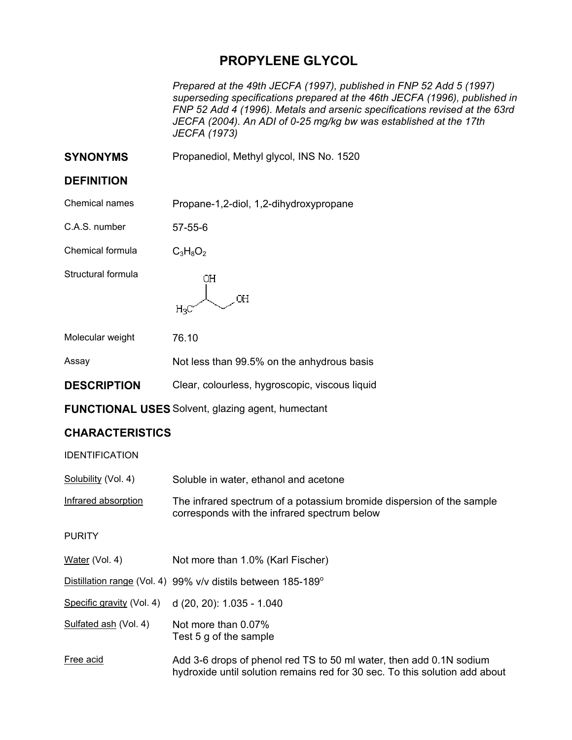## **PROPYLENE GLYCOL**

*Prepared at the 49th JECFA (1997), published in FNP 52 Add 5 (1997) superseding specifications prepared at the 46th JECFA (1996), published in FNP 52 Add 4 (1996). Metals and arsenic specifications revised at the 63rd JECFA (2004). An ADI of 0-25 mg/kg bw was established at the 17th JECFA (1973)* 

**SYNONYMS** Propanediol, Methyl glycol, INS No. 1520

## **DEFINITION**

| Chemical names | Propane-1,2-diol, 1,2-dihydroxypropane |
|----------------|----------------------------------------|
|----------------|----------------------------------------|

C.A.S. number 57-55-6

Chemical formula  $C_3H_8O_2$ 

Structural formula

OН **OH**  $H_3C$ 

| Molecular weight | 76.10 |
|------------------|-------|
|                  |       |

| Assay | Not less than 99.5% on the anhydrous basis |
|-------|--------------------------------------------|
|-------|--------------------------------------------|

- **DESCRIPTION** Clear, colourless, hygroscopic, viscous liquid
- **FUNCTIONAL USES** Solvent, glazing agent, humectant

## **CHARACTERISTICS**

IDENTIFICATION

| <u>Solubility</u> (Vol. 4) | Soluble in water, ethanol and acetone |
|----------------------------|---------------------------------------|
|----------------------------|---------------------------------------|

Infrared absorption The infrared spectrum of a potassium bromide dispersion of the sample corresponds with the infrared spectrum below

PURITY

| Water (Vol. 4) | Not more than 1.0% (Karl Fischer) |
|----------------|-----------------------------------|
|----------------|-----------------------------------|

Distillation range (Vol. 4) 99% v/v distils between 185-189°

Specific gravity (Vol. 4) d (20, 20): 1.035 - 1.040

- Sulfated ash (Vol. 4) Not more than 0.07% Test 5 g of the sample
- Free acid Add 3-6 drops of phenol red TS to 50 ml water, then add 0.1N sodium hydroxide until solution remains red for 30 sec. To this solution add about